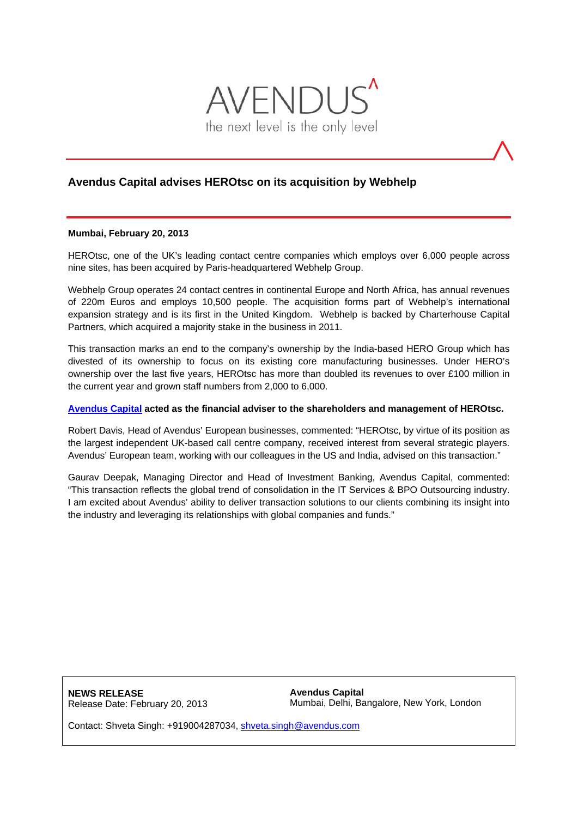

## **Avendus Capital advises HEROtsc on its acquisition by Webhelp**

## **Mumbai, February 20, 2013**

HEROtsc, one of the UK's leading contact centre companies which employs over 6,000 people across nine sites, has been acquired by Paris-headquartered Webhelp Group.

Webhelp Group operates 24 contact centres in continental Europe and North Africa, has annual revenues of 220m Euros and employs 10,500 people. The acquisition forms part of Webhelp's international expansion strategy and is its first in the United Kingdom. Webhelp is backed by Charterhouse Capital Partners, which acquired a majority stake in the business in 2011.

This transaction marks an end to the company's ownership by the India-based HERO Group which has divested of its ownership to focus on its existing core manufacturing businesses. Under HERO's ownership over the last five years, HEROtsc has more than doubled its revenues to over £100 million in the current year and grown staff numbers from 2,000 to 6,000.

## **[Avendus Capital](http://www.avendus.com/) acted as the financial adviser to the shareholders and management of HEROtsc.**

Robert Davis, Head of Avendus' European businesses, commented: "HEROtsc, by virtue of its position as the largest independent UK-based call centre company, received interest from several strategic players. Avendus' European team, working with our colleagues in the US and India, advised on this transaction."

Gaurav Deepak, Managing Director and Head of Investment Banking, Avendus Capital, commented: "This transaction reflects the global trend of consolidation in the IT Services & BPO Outsourcing industry. I am excited about Avendus' ability to deliver transaction solutions to our clients combining its insight into the industry and leveraging its relationships with global companies and funds."

**NEWS RELEASE**  Release Date: February 20, 2013 **Avendus Capital**  Mumbai, Delhi, Bangalore, New York, London

Contact: Shveta Singh: +919004287034, shveta.singh@avendus.com